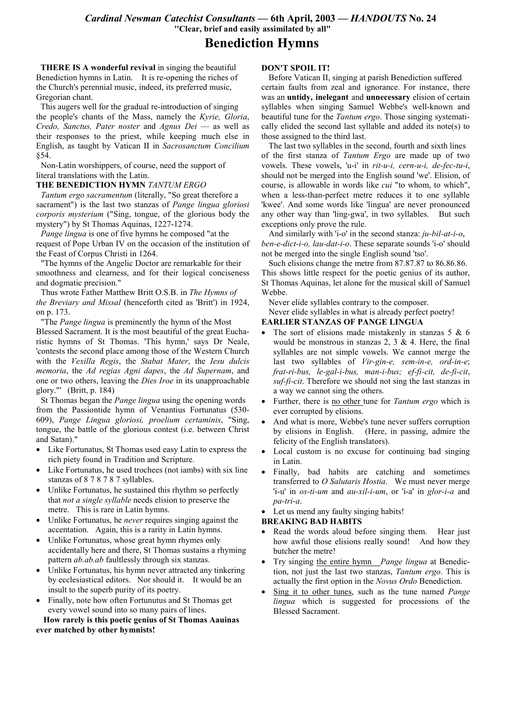Cardinal Newman Catechist Consultants - 6th April, 2003 - HANDOUTS No. 24 "Clear, brief and easily assimilated by all"

# **Benediction Hymns**

**THERE IS A wonderful revival in singing the beautiful** Benediction hymns in Latin. It is re-opening the riches of the Church's perennial music, indeed, its preferred music, Gregorian chant.

This augers well for the gradual re-introduction of singing the people's chants of the Mass, namely the Kyrie, Gloria, Credo, Sanctus, Pater noster and Agnus Dei - as well as their responses to the priest, while keeping much else in English, as taught by Vatican II in Sacrosanctum Concilium 854.

Non-Latin worshippers, of course, need the support of literal translations with the Latin.

#### THE BENEDICTION HYMN TANTUM ERGO

Tantum ergo sacramentum (literally, "So great therefore a sacrament") is the last two stanzas of *Pange lingua gloriosi corporis mysterium* ("Sing, tongue, of the glorious body the mystery") by St Thomas Aguinas, 1227-1274.

*Pange lingua* is one of five hymns he composed "at the request of Pope Urban IV on the occasion of the institution of the Feast of Corpus Christi in 1264.

"The hymns of the Angelic Doctor are remarkable for their smoothness and clearness, and for their logical conciseness and dogmatic precision."

Thus wrote Father Matthew Britt O.S.B. in The Hymns of the Breviary and Missal (henceforth cited as 'Britt') in 1924, on p. 173.

"The *Pange lingua* is preminently the hymn of the Most Blessed Sacrament. It is the most beautiful of the great Eucharistic hymns of St Thomas. 'This hymn,' says Dr Neale, 'contests the second place among those of the Western Church with the Vexilla Regis, the Stabat Mater, the Iesu dulcis memoria, the Ad regias Agni dapes, the Ad Supernam, and one or two others, leaving the *Dies Iroe* in its unapproachable glory."" (Britt, p. 184)

St Thomas began the *Pange lingua* using the opening words from the Passiontide hymn of Venantius Fortunatus (530-609), Pange Lingua gloriosi, proelium certaminis, "Sing, tongue, the battle of the glorious contest (i.e. between Christ and Satan)."

- Like Fortunatus, St Thomas used easy Latin to express the rich piety found in Tradition and Scripture.
- Like Fortunatus, he used trochees (not iambs) with six line stanzas of 8 7 8 7 8 7 syllables.
- Unlike Fortunatus, he sustained this rhythm so perfectly that *not a single syllable* needs elision to preserve the metre. This is rare in Latin hymns.
- Unlike Fortunatus, he *never* requires singing against the accentation. Again, this is a rarity in Latin hymns.
- Unlike Fortunatus, whose great hymn rhymes only accidentally here and there, St Thomas sustains a rhyming pattern *ab.ab.ab* faultlessly through six stanzas.
- Unlike Fortunatus, his hymn never attracted any tinkering by ecclesiastical editors. Nor should it. It would be an insult to the superb purity of its poetry.
- Finally, note how often Fortunutus and St Thomas get every vowel sound into so many pairs of lines.

How rarely is this poetic genius of St Thomas Aauinas ever matched by other hymnists!

## **DON'T SPOIL IT!**

Before Vatican II, singing at parish Benediction suffered certain faults from zeal and ignorance. For instance, there was an untidy, inelegant and unnecessary elision of certain syllables when singing Samuel Webbe's well-known and beautiful tune for the *Tantum ergo*. Those singing systematically elided the second last syllable and added its note(s) to those assigned to the third last.

The last two syllables in the second, fourth and sixth lines of the first stanza of Tantum Ergo are made up of two vowels. These vowels, 'u-i' in rit-u-i, cern-u-i, de-fec-tu-i, should not be merged into the English sound 'we'. Elision, of course, is allowable in words like *cui* "to whom, to which", when a less-than-perfect metre reduces it to one syllable 'kwee'. And some words like 'lingua' are never pronounced any other way than 'ling-gwa', in two syllables. But such exceptions only prove the rule.

And similarly with 'i-o' in the second stanza:  $ju$ -bil-at-i-o, ben-e-dict-i-o, lau-dat-i-o. These separate sounds 'i-o' should not be merged into the single English sound 'tso'.

Such elisions change the metre from 87.87.87 to 86.86.86. This shows little respect for the poetic genius of its author, St Thomas Aquinas, let alone for the musical skill of Samuel Webbe.

Never elide syllables contrary to the composer.

Never elide syllables in what is already perfect poetry!

## **EARLIER STANZAS OF PANGE LINGUA**

- The sort of elisions made mistakenly in stanzas  $5 \& 6$ would be monstrous in stanzas  $2, 3 \& 4$ . Here, the final syllables are not simple vowels. We cannot merge the last two syllables of Vir-gin-e, sem-in-e, ord-in-e; frat-ri-bus, le-gal-i-bus, man-i-bus; ef-fi-cit, de-fi-cit,  $\frac{suf-fi-cit}{r}$ . Therefore we should not sing the last stanzas in a way we cannot sing the others.
- Further, there is no other tune for *Tantum ergo* which is ever corrupted by elisions.
- And what is more, Webbe's tune never suffers corruption by elisions in English. (Here, in passing, admire the felicity of the English translators).
- Local custom is no excuse for continuing bad singing in Latin.
- Finally, bad habits are catching and sometimes transferred to O Salutaris Hostia. We must never merge 'i-u' in  $os-ti$ -um and  $au$ -xil-i-um, or 'i-a' in glor-i-a and pa-tri-a.

• Let us mend any faulty singing habits!

#### **BREAKING BAD HABITS**

- Read the words aloud before singing them. Hear just  $\bullet$ how awful those elisions really sound! And how they butcher the metre!
- Try singing the entire hymn Pange lingua at Benediction, not just the last two stanzas, Tantum ergo. This is actually the first option in the Novus Ordo Benediction.
- Sing it to other tunes, such as the tune named *Pange lingua* which is suggested for processions of the **Blessed Sacrament**.